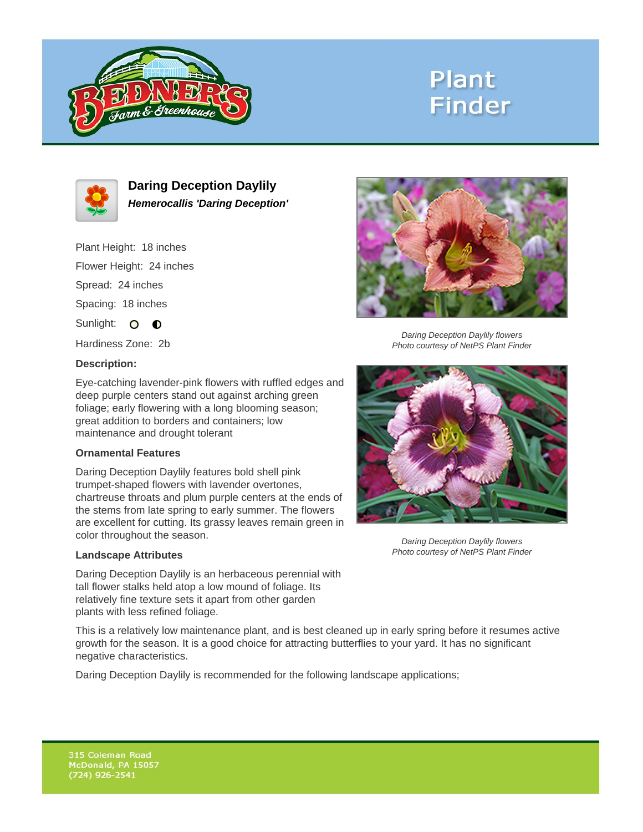

# **Plant Finder**



**Daring Deception Daylily Hemerocallis 'Daring Deception'**

Plant Height: 18 inches Flower Height: 24 inches Spread: 24 inches

Spacing: 18 inches

Sunlight: O **O** 

Hardiness Zone: 2b

### **Description:**

Eye-catching lavender-pink flowers with ruffled edges and deep purple centers stand out against arching green foliage; early flowering with a long blooming season; great addition to borders and containers; low maintenance and drought tolerant

### **Ornamental Features**

Daring Deception Daylily features bold shell pink trumpet-shaped flowers with lavender overtones, chartreuse throats and plum purple centers at the ends of the stems from late spring to early summer. The flowers are excellent for cutting. Its grassy leaves remain green in color throughout the season.

#### **Landscape Attributes**

Daring Deception Daylily is an herbaceous perennial with tall flower stalks held atop a low mound of foliage. Its relatively fine texture sets it apart from other garden plants with less refined foliage.

This is a relatively low maintenance plant, and is best cleaned up in early spring before it resumes active growth for the season. It is a good choice for attracting butterflies to your yard. It has no significant negative characteristics.

Daring Deception Daylily is recommended for the following landscape applications;



Daring Deception Daylily flowers Photo courtesy of NetPS Plant Finder



Daring Deception Daylily flowers Photo courtesy of NetPS Plant Finder

315 Coleman Road McDonald, PA 15057  $(724)$  926-2541